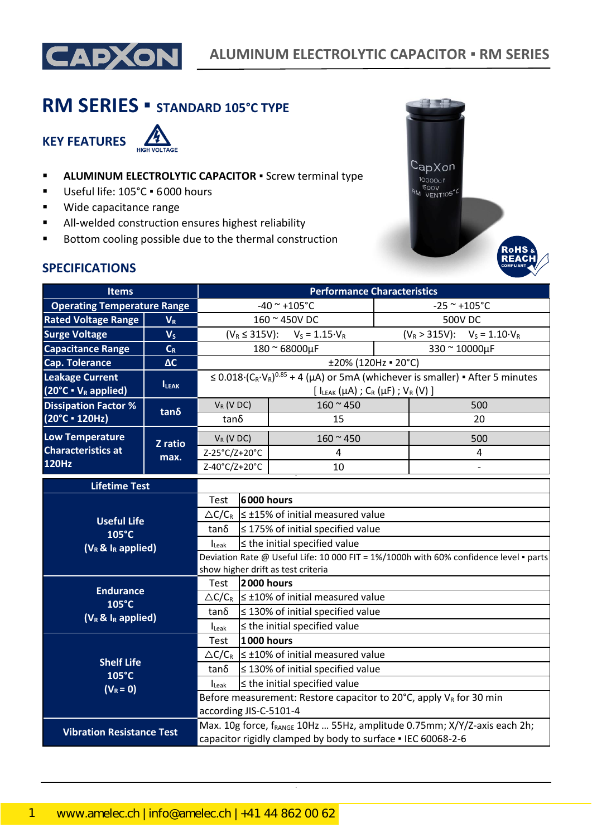

# **RM SERIES ▪ STANDARD 105°C TYPE**

**KEY FEATURES**



- **E** ALUMINUM ELECTROLYTIC CAPACITOR **·** Screw terminal type
- Useful life: 105°C · 6000 hours
- Wide capacitance range
- All-welded construction ensures highest reliability
- Bottom cooling possible due to the thermal construction



### **SPECIFICATIONS**

| <b>Items</b>                                                |                                                              | <b>Performance Characteristics</b>                                                                                          |                                                       |                                                                                           |                |                                                                                                |  |
|-------------------------------------------------------------|--------------------------------------------------------------|-----------------------------------------------------------------------------------------------------------------------------|-------------------------------------------------------|-------------------------------------------------------------------------------------------|----------------|------------------------------------------------------------------------------------------------|--|
| <b>Operating Temperature Range</b>                          |                                                              |                                                                                                                             |                                                       | $-40$ ~ +105°C                                                                            | $-25$ ~ +105°C |                                                                                                |  |
| <b>Rated Voltage Range</b>                                  | $V_R$                                                        |                                                                                                                             |                                                       | 160 ~ 450V DC                                                                             |                | <b>500V DC</b>                                                                                 |  |
| <b>Surge Voltage</b>                                        | V <sub>S</sub>                                               | $(V_R \leq 315V)$ : $V_S = 1.15 \cdot V_R$                                                                                  |                                                       |                                                                                           |                | $(V_R > 315V)$ : $V_S = 1.10 V_R$                                                              |  |
| <b>Capacitance Range</b>                                    | $C_R$                                                        | 180 ~ 68000µF                                                                                                               |                                                       |                                                                                           |                | 330 ~ 10000µF                                                                                  |  |
| <b>Cap. Tolerance</b>                                       | $\Delta C$                                                   | ±20% (120Hz = 20°C)                                                                                                         |                                                       |                                                                                           |                |                                                                                                |  |
| <b>Leakage Current</b><br>$(20^{\circ}C \cdot V_R$ applied) | <b>ILEAK</b>                                                 |                                                                                                                             |                                                       | [ $l_{LEAK}(\mu A)$ ; C <sub>R</sub> ( $\mu$ F); V <sub>R</sub> (V)]                      |                | $\leq 0.018$ $(C_R \cdot V_R)^{0.85}$ + 4 (µA) or 5mA (whichever is smaller) • After 5 minutes |  |
| <b>Dissipation Factor %</b>                                 |                                                              | $V_R$ (V DC)                                                                                                                |                                                       | $160 - 450$                                                                               |                | 500                                                                                            |  |
| (20°C · 120Hz)                                              | $tan\delta$                                                  | $tan\delta$                                                                                                                 |                                                       | 15                                                                                        |                | 20                                                                                             |  |
| <b>Low Temperature</b>                                      | Z ratio                                                      | $V_R$ (V DC)                                                                                                                |                                                       | $160 - 450$                                                                               |                | 500                                                                                            |  |
| <b>Characteristics at</b>                                   | max.                                                         | Z-25°C/Z+20°C                                                                                                               |                                                       | 4                                                                                         |                | 4                                                                                              |  |
| 120Hz                                                       |                                                              | Z-40°C/Z+20°C                                                                                                               |                                                       | 10                                                                                        |                |                                                                                                |  |
| <b>Lifetime Test</b>                                        |                                                              |                                                                                                                             |                                                       |                                                                                           |                |                                                                                                |  |
| <b>Useful Life</b>                                          |                                                              | Test                                                                                                                        | <b>6000 hours</b>                                     |                                                                                           |                |                                                                                                |  |
|                                                             |                                                              |                                                                                                                             |                                                       | $\triangle C/C_R \le \pm 15\%$ of initial measured value                                  |                |                                                                                                |  |
| 105°C                                                       |                                                              |                                                                                                                             | $\leq$ 175% of initial specified value<br>$tan\delta$ |                                                                                           |                |                                                                                                |  |
| $(V_R \& I_R$ applied)                                      |                                                              | $\leq$ the initial specified value<br>$I_{\text{Leak}}$                                                                     |                                                       |                                                                                           |                |                                                                                                |  |
|                                                             |                                                              | Deviation Rate @ Useful Life: 10 000 FIT = 1%/1000h with 60% confidence level · parts<br>show higher drift as test criteria |                                                       |                                                                                           |                |                                                                                                |  |
|                                                             |                                                              | <b>2000 hours</b><br>Test                                                                                                   |                                                       |                                                                                           |                |                                                                                                |  |
| <b>Endurance</b>                                            |                                                              | $\triangle C/C_R$ $\leq \pm 10\%$ of initial measured value                                                                 |                                                       |                                                                                           |                |                                                                                                |  |
| 105°C                                                       |                                                              | tan δ                                                                                                                       | $\leq$ 130% of initial specified value                |                                                                                           |                |                                                                                                |  |
| $(V_R \& I_R$ applied)                                      |                                                              | $\le$ the initial specified value<br><b>I</b> Leak                                                                          |                                                       |                                                                                           |                |                                                                                                |  |
|                                                             |                                                              | Test                                                                                                                        | <b>1000 hours</b>                                     |                                                                                           |                |                                                                                                |  |
| <b>Shelf Life</b>                                           |                                                              |                                                                                                                             |                                                       | $\triangle C/C_R$ $\leq \pm 10\%$ of initial measured value                               |                |                                                                                                |  |
| 105°C                                                       |                                                              | $tan\delta$                                                                                                                 |                                                       | $\leq$ 130% of initial specified value                                                    |                |                                                                                                |  |
| $(V_R = 0)$                                                 |                                                              | ILeak                                                                                                                       |                                                       | $\leq$ the initial specified value                                                        |                |                                                                                                |  |
|                                                             |                                                              |                                                                                                                             |                                                       | Before measurement: Restore capacitor to 20 $^{\circ}$ C, apply V <sub>R</sub> for 30 min |                |                                                                                                |  |
|                                                             | according JIS-C-5101-4                                       |                                                                                                                             |                                                       |                                                                                           |                |                                                                                                |  |
| <b>Vibration Resistance Test</b>                            |                                                              |                                                                                                                             |                                                       |                                                                                           |                | Max. 10g force, f <sub>RANGE</sub> 10Hz  55Hz, amplitude 0.75mm; X/Y/Z-axis each 2h;           |  |
|                                                             | capacitor rigidly clamped by body to surface . IEC 60068-2-6 |                                                                                                                             |                                                       |                                                                                           |                |                                                                                                |  |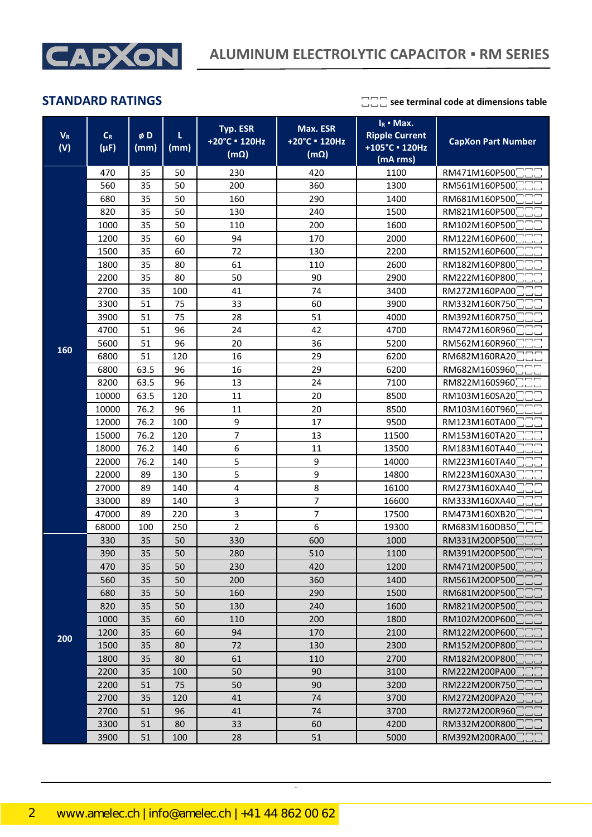

| $V_R$<br>(V) | $C_R$<br>$(\mu F)$ | øD<br>(mm) | τ<br>(mm) | Typ. ESR<br>+20°C = 120Hz<br>$(m\Omega)$ | Max. ESR<br>+20°C = 120Hz<br>$(m\Omega)$ | $I_R$ = Max.<br><b>Ripple Current</b><br>+105°C · 120Hz<br>(mA rms) | <b>CapXon Part Number</b> |
|--------------|--------------------|------------|-----------|------------------------------------------|------------------------------------------|---------------------------------------------------------------------|---------------------------|
|              | 470                | 35         | 50        | 230                                      | 420                                      | 1100                                                                | RM471M160P500             |
|              | 560                | 35         | 50        | 200                                      | 360                                      | 1300                                                                | RM561M160P500             |
|              | 680                | 35         | 50        | 160                                      | 290                                      | 1400                                                                | RM681M160P500             |
|              | 820                | 35         | 50        | 130                                      | 240                                      | 1500                                                                | RM821M160P500             |
|              | 1000               | 35         | 50        | 110                                      | 200                                      | 1600                                                                | RM102M160P500             |
|              | 1200               | 35         | 60        | 94                                       | 170                                      | 2000                                                                | RM122M160P600             |
|              | 1500               | 35         | 60        | 72                                       | 130                                      | 2200                                                                | RM152M160P600             |
|              | 1800               | 35         | 80        | 61                                       | 110                                      | 2600                                                                | RM182M160P800             |
|              | 2200               | 35         | 80        | 50                                       | 90                                       | 2900                                                                | RM222M160P800             |
|              | 2700               | 35         | 100       | 41                                       | 74                                       | 3400                                                                | RM272M160PA00             |
|              | 3300               | 51         | 75        | 33                                       | 60                                       | 3900                                                                | RM332M160R750             |
|              | 3900               | 51         | 75        | 28                                       | 51                                       | 4000                                                                | RM392M160R750             |
|              | 4700               | 51         | 96        | 24                                       | 42                                       | 4700                                                                | RM472M160R960             |
|              | 5600               | 51         | 96        | 20                                       | 36                                       | 5200                                                                | RM562M160R960             |
| 160          | 6800               | 51         | 120       | 16                                       | 29                                       | 6200                                                                | RM682M160RA20             |
|              | 6800               | 63.5       | 96        | 16                                       | 29                                       | 6200                                                                | RM682M160S960             |
|              | 8200               | 63.5       | 96        | 13                                       | 24                                       | 7100                                                                | RM822M160S960             |
|              | 10000              | 63.5       | 120       | 11                                       | 20                                       | 8500                                                                | RM103M160SA20             |
|              | 10000              | 76.2       | 96        | 11                                       | 20                                       | 8500                                                                | RM103M160T960             |
|              | 12000              | 76.2       | 100       | 9                                        | 17                                       | 9500                                                                | RM123M160TA00             |
|              | 15000              | 76.2       | 120       | 7                                        | 13                                       | 11500                                                               | RM153M160TA20             |
|              | 18000              | 76.2       | 140       | 6                                        | 11                                       | 13500                                                               | RM183M160TA40             |
|              | 22000              | 76.2       | 140       | 5                                        | 9                                        | 14000                                                               | RM223M160TA40             |
|              | 22000              | 89         | 130       | 5                                        | 9                                        | 14800                                                               | RM223M160XA30             |
|              | 27000              | 89         | 140       | 4                                        | 8                                        | 16100                                                               | RM273M160XA40             |
|              | 33000              | 89         | 140       | 3                                        | 7                                        | 16600                                                               | RM333M160XA40             |
|              | 47000              | 89         | 220       | 3                                        | 7                                        | 17500                                                               | RM473M160XB20             |
|              | 68000              | 100        | 250       | $\overline{2}$                           | 6                                        | 19300                                                               | RM683M160DB50             |
|              | 330                | 35         | 50        | 330                                      | 600                                      | 1000                                                                | RM331M200P500             |
|              | 390                | 35         | 50        | 280                                      | 510                                      | 1100                                                                | RM391M200P500             |
|              | 470                | 35         | 50        | 230                                      | 420                                      | 1200                                                                | RM471M200P500             |
|              | 560                | 35         | 50        | 200                                      | 360                                      | 1400                                                                | RM561M200P500             |
|              | 680                | 35         | 50        | 160                                      | 290                                      | 1500                                                                | RM681M200P500             |
|              | 820                | 35         | 50        | 130                                      | 240                                      | 1600                                                                | RM821M200P500             |
|              | 1000               | 35         | 60        | 110                                      | 200                                      | 1800                                                                | RM102M200P600             |
| 200          | 1200               | 35         | 60        | 94                                       | 170                                      | 2100                                                                | RM122M200P600             |
|              | 1500               | 35         | 80        | 72                                       | 130                                      | 2300                                                                | RM152M200P800             |
|              | 1800               | 35         | 80        | 61                                       | 110                                      | 2700                                                                | RM182M200P800             |
|              | 2200               | 35         | 100       | 50                                       | 90                                       | 3100                                                                | RM222M200PA00             |
|              | 2200               | 51         | 75        | 50                                       | 90                                       | 3200                                                                | RM222M200R750             |
|              | 2700               | 35         | 120       | 41                                       | 74                                       | 3700                                                                | RM272M200PA20             |
|              | 2700               | 51         | 96        | 41                                       | 74                                       | 3700                                                                | RM272M200R960             |
|              | 3300               | 51         | 80        | 33                                       | 60                                       | 4200                                                                | RM332M200R800             |
|              | 3900               | 51         | 100       | 28                                       | 51                                       | 5000                                                                | RM392M200RA00             |

CapXon\_Ver. 001 – 03/31/2020 2 Document Number: RM series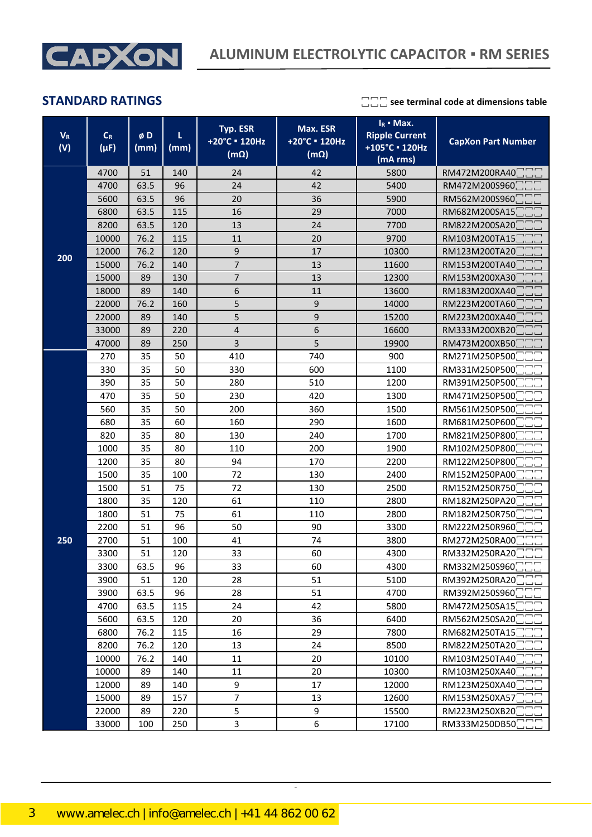

| $V_{R}$<br>(V) | $C_R$<br>$(\mu F)$ | øD<br>(mm) | L<br>(mm) | Typ. ESR<br>+20°C = 120Hz<br>$(m\Omega)$ | Max. ESR<br>+20°C = 120Hz<br>$(m\Omega)$ | $I_R$ • Max.<br><b>Ripple Current</b><br>+105°C · 120Hz<br>(mA rms) | <b>CapXon Part Number</b> |
|----------------|--------------------|------------|-----------|------------------------------------------|------------------------------------------|---------------------------------------------------------------------|---------------------------|
|                | 4700               | 51         | 140       | 24                                       | 42                                       | 5800                                                                | RM472M200RA40             |
|                | 4700               | 63.5       | 96        | 24                                       | 42                                       | 5400                                                                | RM472M200S960             |
|                | 5600               | 63.5       | 96        | 20                                       | 36                                       | 5900                                                                | RM562M200S960             |
|                | 6800               | 63.5       | 115       | 16                                       | 29                                       | 7000                                                                | RM682M200SA1              |
|                | 8200               | 63.5       | 120       | 13                                       | 24                                       | 7700                                                                | RM822M200SA20             |
|                | 10000              | 76.2       | 115       | 11                                       | 20                                       | 9700                                                                | RM103M200TA15             |
|                | 12000              | 76.2       | 120       | 9                                        | 17                                       | 10300                                                               | RM123M200TA20             |
| 200            | 15000              | 76.2       | 140       | $\overline{7}$                           | 13                                       | 11600                                                               | RM153M200TA40             |
|                | 15000              | 89         | 130       | $\overline{7}$                           | 13                                       | 12300                                                               | RM153M200XA30             |
|                | 18000              | 89         | 140       | 6                                        | 11                                       | 13600                                                               | RM183M200XA40             |
|                | 22000              | 76.2       | 160       | 5                                        | 9                                        | 14000                                                               | RM223M200TA60             |
|                | 22000              | 89         | 140       | 5                                        | $\mathsf 9$                              | 15200                                                               | RM223M200XA40             |
|                | 33000              | 89         | 220       | $\sqrt{4}$                               | 6                                        | 16600                                                               | RM333M200XB20             |
|                | 47000              | 89         | 250       | 3                                        | 5                                        | 19900                                                               | RM473M200XB50             |
|                | 270                | 35         | 50        | 410                                      | 740                                      | 900                                                                 | RM271M250P500             |
|                | 330                | 35         | 50        | 330                                      | 600                                      | 1100                                                                | RM331M250P500             |
|                | 390                | 35         | 50        | 280                                      | 510                                      | 1200                                                                | RM391M250P500             |
|                | 470                | 35         | 50        | 230                                      | 420                                      | 1300                                                                | RM471M250P500             |
|                | 560                | 35         | 50        | 200                                      | 360                                      | 1500                                                                | RM561M250P500             |
|                | 680                | 35         | 60        | 160                                      | 290                                      | 1600                                                                | RM681M250P600             |
|                | 820                | 35         | 80        | 130                                      | 240                                      | 1700                                                                | RM821M250P800             |
|                | 1000               | 35         | 80        | 110                                      | 200                                      | 1900                                                                | RM102M250P800             |
|                | 1200               | 35         | 80        | 94                                       | 170                                      | 2200                                                                | RM122M250P800             |
|                | 1500               | 35         | 100       | 72                                       | 130                                      | 2400                                                                | RM152M250PA00             |
|                | 1500               | 51         | 75        | 72                                       | 130                                      | 2500                                                                | RM152M250R750             |
|                | 1800               | 35         | 120       | 61                                       | 110                                      | 2800                                                                | RM182M250PA20             |
|                | 1800               | 51         | 75        | 61                                       | 110                                      | 2800                                                                | RM182M250R750             |
|                | 2200               | 51         | 96        | 50                                       | 90                                       | 3300                                                                | RM222M250R960             |
| 250            | 2700               | 51         | 100       | 41                                       | 74                                       | 3800                                                                | RM272M250RA00             |
|                | 3300               | 51         | 120       | 33                                       | 60                                       | 4300                                                                | RM332M250RA20             |
|                | 3300               | 63.5       | 96        | 33                                       | 60                                       | 4300                                                                | RM332M250S960             |
|                | 3900               | 51         | 120       | 28                                       | 51                                       | 5100                                                                | RM392M250RA20             |
|                | 3900               | 63.5       | 96        | 28                                       | 51                                       | 4700                                                                | RM392M250S960             |
|                | 4700               | 63.5       | 115       | 24                                       | 42                                       | 5800                                                                | RM472M250SA15             |
|                | 5600               | 63.5       | 120       | 20                                       | 36                                       | 6400                                                                | RM562M250SA20             |
|                | 6800               | 76.2       | 115       | 16                                       | 29                                       | 7800                                                                | RM682M250TA15             |
|                | 8200               | 76.2       | 120       | 13                                       | 24                                       | 8500                                                                | RM822M250TA20             |
|                | 10000              | 76.2       | 140       | 11                                       | 20                                       | 10100                                                               | RM103M250TA40             |
|                | 10000              | 89         | 140       | 11                                       | 20                                       | 10300                                                               | RM103M250XA40             |
|                | 12000              | 89         | 140       | 9                                        | 17                                       | 12000                                                               | RM123M250XA40             |
|                | 15000              | 89         | 157       | $\overline{7}$                           | 13                                       | 12600                                                               | RM153M250XA57             |
|                | 22000              | 89         | 220       | 5                                        | 9                                        | 15500                                                               | RM223M250XB20             |
|                | 33000              | 100        | 250       | $\mathbf{3}$                             | 6                                        | 17100                                                               | RM333M250DB50□□□          |

CapXon\_Ver. 001 – 03/31/2020 3 Document Number: RM series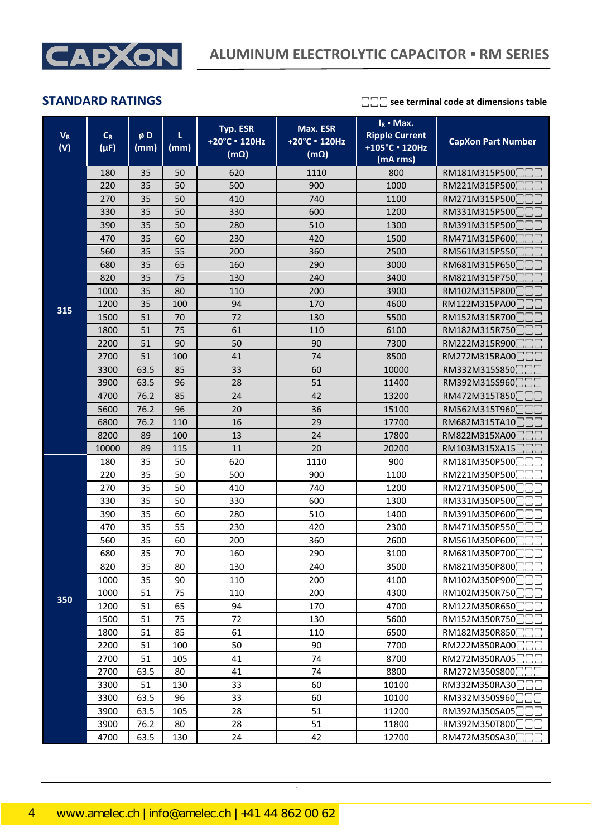

| $V_R$<br>(V) | $\mathsf{C}_{\mathsf{R}}$<br>$(\mu F)$ | øD<br>(mm) | L<br>(mm) | <b>Typ. ESR</b><br>+20°C = 120Hz<br>$(m\Omega)$ | Max. ESR<br>+20°C = 120Hz<br>$(m\Omega)$ | $I_R$ • Max.<br><b>Ripple Current</b><br>+105°C · 120Hz<br>(mA rms) | <b>CapXon Part Number</b> |
|--------------|----------------------------------------|------------|-----------|-------------------------------------------------|------------------------------------------|---------------------------------------------------------------------|---------------------------|
|              | 180                                    | 35         | 50        | 620                                             | 1110                                     | 800                                                                 | RM181M315P500             |
|              | 220                                    | 35         | 50        | 500                                             | 900                                      | 1000                                                                | RM221M315P500             |
|              | 270                                    | 35         | 50        | 410                                             | 740                                      | 1100                                                                | RM271M315P500             |
|              | 330                                    | 35         | 50        | 330                                             | 600                                      | 1200                                                                | RM331M315P500             |
|              | 390                                    | 35         | 50        | 280                                             | 510                                      | 1300                                                                | RM391M315P500             |
|              | 470                                    | 35         | 60        | 230                                             | 420                                      | 1500                                                                | RM471M315P600             |
|              | 560                                    | 35         | 55        | 200                                             | 360                                      | 2500                                                                | RM561M315P550             |
|              | 680                                    | 35         | 65        | 160                                             | 290                                      | 3000                                                                | RM681M315P650             |
|              | 820                                    | 35         | 75        | 130                                             | 240                                      | 3400                                                                | RM821M315P750             |
|              | 1000                                   | 35         | 80        | 110                                             | 200                                      | 3900                                                                | RM102M315P800             |
| 315          | 1200                                   | 35         | 100       | 94                                              | 170                                      | 4600                                                                | RM122M315PA00             |
|              | 1500                                   | 51         | 70        | 72                                              | 130                                      | 5500                                                                | RM152M315R700             |
|              | 1800                                   | 51         | 75        | 61                                              | 110                                      | 6100                                                                | RM182M315R750             |
|              | 2200                                   | 51         | 90        | 50                                              | 90                                       | 7300                                                                | RM222M315R900             |
|              | 2700                                   | 51         | 100       | 41                                              | 74                                       | 8500                                                                | RM272M315RA00             |
|              | 3300                                   | 63.5       | 85        | 33                                              | 60                                       | 10000                                                               | RM332M315S850             |
|              | 3900                                   | 63.5       | 96        | 28                                              | 51                                       | 11400                                                               | RM392M315S960             |
|              | 4700                                   | 76.2       | 85        | 24                                              | 42                                       | 13200                                                               | RM472M315T850             |
|              | 5600                                   | 76.2       | 96        | 20                                              | 36                                       | 15100                                                               | RM562M315T960             |
|              | 6800                                   | 76.2       | 110       | 16                                              | 29                                       | 17700                                                               | RM682M315TA10             |
|              | 8200                                   | 89         | 100       | 13                                              | 24                                       | 17800                                                               | RM822M315XA00             |
|              | 10000                                  | 89         | 115       | 11                                              | 20                                       | 20200                                                               | RM103M315XA15             |
|              | 180                                    | 35         | 50        | 620                                             | 1110                                     | 900                                                                 | RM181M350P500             |
|              | 220                                    | 35         | 50        | 500                                             | 900                                      | 1100                                                                | RM221M350P50C             |
|              | 270                                    | 35         | 50        | 410                                             | 740                                      | 1200                                                                | RM271M350P500             |
|              | 330                                    | 35         | 50        | 330                                             | 600                                      | 1300                                                                | RM331M350P500             |
|              | 390                                    | 35         | 60        | 280                                             | 510                                      | 1400                                                                | RM391M350P600             |
|              | 470                                    | 35         | 55        | 230                                             | 420                                      | 2300                                                                | RM471M350P550             |
|              | 560                                    | 35         | 60        | 200                                             | 360                                      | 2600                                                                | RM561M350P600             |
|              | 680                                    | 35         | 70        | 160                                             | 290                                      | 3100                                                                | RM681M350P700             |
|              | 820                                    | 35         | 80        | 130                                             | 240                                      | 3500                                                                | RM821M350P800             |
|              | 1000                                   | 35         | 90        | 110                                             | 200                                      | 4100                                                                | RM102M350P900             |
| 350          | 1000                                   | 51         | 75        | 110                                             | 200                                      | 4300                                                                | RM102M350R750             |
|              | 1200                                   | 51         | 65        | 94                                              | 170                                      | 4700                                                                | RM122M350R650             |
|              | 1500                                   | 51         | 75        | 72                                              | 130                                      | 5600                                                                | RM152M350R750             |
|              | 1800                                   | 51         | 85        | 61                                              | 110                                      | 6500                                                                | RM182M350R850             |
|              | 2200                                   | 51         | 100       | 50                                              | 90                                       | 7700                                                                | RM222M350RA00             |
|              | 2700                                   | 51         | 105       | 41                                              | 74                                       | 8700                                                                | RM272M350RA05             |
|              | 2700                                   | 63.5       | 80        | 41                                              | 74                                       | 8800                                                                | RM272M350S800             |
|              | 3300                                   | 51         | 130       | 33                                              | 60                                       | 10100                                                               | RM332M350RA30             |
|              | 3300                                   | 63.5       | 96        | 33                                              | 60                                       | 10100                                                               | RM332M350S960             |
|              | 3900                                   | 63.5       | 105       | 28                                              | 51                                       | 11200                                                               | RM392M350SA05             |
|              | 3900                                   | 76.2       | 80        | 28                                              | 51                                       | 11800                                                               | RM392M350T800             |
|              | 4700                                   | 63.5       | 130       | 24                                              | 42                                       | 12700                                                               | RM472M350SA30             |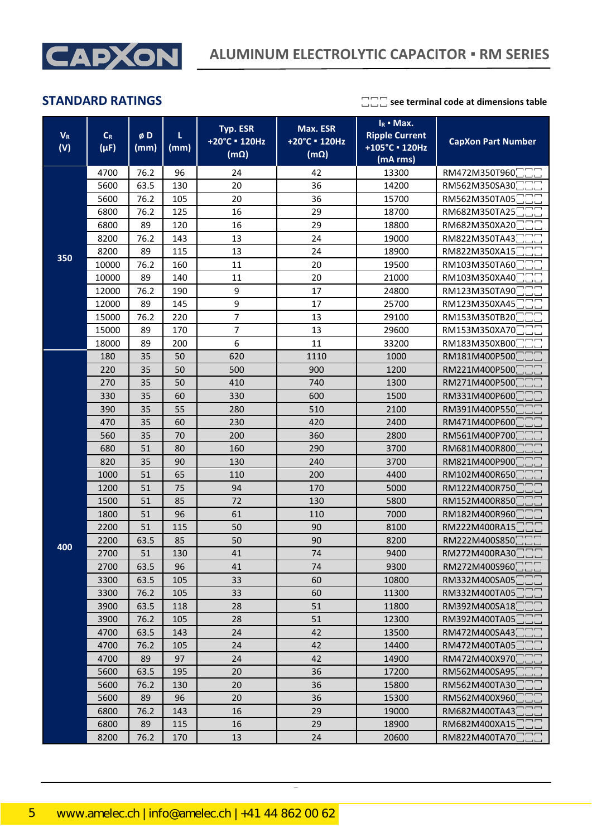

| $V_R$<br>(V) | $C_R$<br>$(\mu F)$ | øD<br>(mm) | L<br>(mm) | Typ. ESR<br>+20°C = 120Hz<br>$(m\Omega)$ | Max. ESR<br>+20°C = 120Hz<br>$(m\Omega)$ | $I_R$ • Max.<br><b>Ripple Current</b><br>+105°C · 120Hz<br>(mA rms) | <b>CapXon Part Number</b>   |
|--------------|--------------------|------------|-----------|------------------------------------------|------------------------------------------|---------------------------------------------------------------------|-----------------------------|
|              | 4700               | 76.2       | 96        | 24                                       | 42                                       | 13300                                                               | RM472M350T960               |
|              | 5600               | 63.5       | 130       | 20                                       | 36                                       | 14200                                                               | RM562M350SA30               |
|              | 5600               | 76.2       | 105       | 20                                       | 36                                       | 15700                                                               | RM562M350TA05               |
|              | 6800               | 76.2       | 125       | 16                                       | 29                                       | 18700                                                               | RM682M350TA25               |
|              | 6800               | 89         | 120       | 16                                       | 29                                       | 18800                                                               | RM682M350XA20               |
|              | 8200               | 76.2       | 143       | 13                                       | 24                                       | 19000                                                               | RM822M350TA43               |
|              | 8200               | 89         | 115       | 13                                       | 24                                       | 18900                                                               | RM822M350XA15               |
| 350          | 10000              | 76.2       | 160       | 11                                       | 20                                       | 19500                                                               | RM103M350TA60               |
|              | 10000              | 89         | 140       | 11                                       | 20                                       | 21000                                                               | RM103M350XA40               |
|              | 12000              | 76.2       | 190       | 9                                        | 17                                       | 24800                                                               | RM123M350TA90               |
|              | 12000              | 89         | 145       | 9                                        | 17                                       | 25700                                                               | RM123M350XA45               |
|              | 15000              | 76.2       | 220       | $\overline{7}$                           | 13                                       | 29100                                                               | RM153M350TB20               |
|              | 15000              | 89         | 170       | $\overline{7}$                           | 13                                       | 29600                                                               | RM153M350XA70               |
|              | 18000              | 89         | 200       | 6                                        | 11                                       | 33200                                                               | RM183M350XB00               |
|              | 180                | 35         | 50        | 620                                      | 1110                                     | 1000                                                                | RM181M400P500               |
|              | 220                | 35         | 50        | 500                                      | 900                                      | 1200                                                                | RM221M400P500               |
|              | 270                | 35         | 50        | 410                                      | 740                                      | 1300                                                                | RM271M400P500               |
|              | 330                | 35         | 60        | 330                                      | 600                                      | 1500                                                                | RM331M400P600               |
|              | 390                | 35         | 55        | 280                                      | 510                                      | 2100                                                                | RM391M400P550               |
|              | 470                | 35         | 60        | 230                                      | 420                                      | 2400                                                                | RM471M400P600               |
|              | 560                | 35         | 70        | 200                                      | 360                                      | 2800                                                                | RM561M400P700               |
|              | 680                | 51         | 80        | 160                                      | 290                                      | 3700                                                                | RM681M400R800               |
|              | 820                | 35         | 90        | 130                                      | 240                                      | 3700                                                                | RM821M400P900               |
|              | 1000               | 51         | 65        | 110                                      | 200                                      | 4400                                                                | RM102M400R650               |
|              | 1200               | 51         | 75        | 94                                       | 170                                      | 5000                                                                | RM122M400R750               |
|              | 1500               | 51         | 85        | 72                                       | 130                                      | 5800                                                                | RM152M400R850               |
|              | 1800               | 51         | 96        | 61                                       | 110                                      | 7000                                                                | RM182M400R960               |
|              | 2200               | 51         | 115       | 50                                       | 90                                       | 8100                                                                | RM222M400RA15               |
| 400          | 2200               | 63.5       | 85        | 50                                       | 90                                       | 8200                                                                | RM222M400S850               |
|              | 2700               | 51         | 130       | 41                                       | 74                                       | 9400                                                                | RM272M400RA30               |
|              | 2700               | 63.5       | 96        | 41                                       | 74                                       | 9300                                                                | RM272M400S960               |
|              | 3300               | 63.5       | 105       | 33                                       | 60                                       | 10800                                                               | RM332M400SA05               |
|              | 3300               | 76.2       | 105       | 33                                       | 60                                       | 11300                                                               | RM332M400TA05               |
|              | 3900               | 63.5       | 118       | 28                                       | 51                                       | 11800                                                               | RM392M400SA18               |
|              | 3900               | 76.2       | 105       | 28                                       | 51                                       | 12300                                                               | RM392M400TA05               |
|              | 4700               | 63.5       | 143       | 24                                       | 42                                       | 13500                                                               | RM472M400SA43               |
|              | 4700               | 76.2       | 105       | 24                                       | 42                                       | 14400                                                               | RM472M400TA05               |
|              | 4700               | 89         | 97        | 24                                       | 42                                       | 14900                                                               | RM472M400X970               |
|              | 5600               | 63.5       | 195       | 20                                       | 36                                       | 17200                                                               | RM562M400SA95               |
|              | 5600               | 76.2       | 130       | 20                                       | 36                                       | 15800                                                               | RM562M400TA30               |
|              | 5600               | 89         | 96        | 20                                       | 36                                       | 15300                                                               | RM562M400X960               |
|              | 6800               | 76.2       | 143       | 16                                       | 29                                       | 19000                                                               | RM682M400TA43               |
|              | 6800               | 89         | 115       | 16                                       | 29                                       | 18900                                                               | RM682M400XA15               |
|              | 8200               | 76.2       | 170       | 13                                       | 24                                       | 20600                                                               | RM822M400TA70 <sup>-1</sup> |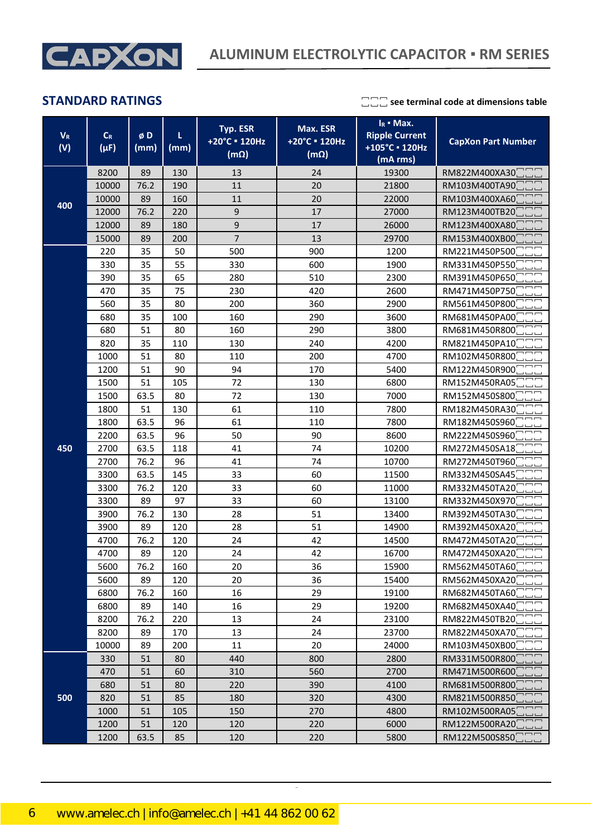

| $V_{R}$<br>(V) | $C_R$<br>$(\mu F)$ | øD<br>(mm) | L<br>(mm) | Typ. ESR<br>+20°C = 120Hz<br>$(m\Omega)$ | Max. ESR<br>+20°C = 120Hz<br>$(m\Omega)$ | $I_R$ • Max.<br><b>Ripple Current</b><br>+105°C · 120Hz<br>(mA rms) | <b>CapXon Part Number</b> |
|----------------|--------------------|------------|-----------|------------------------------------------|------------------------------------------|---------------------------------------------------------------------|---------------------------|
|                | 8200               | 89         | 130       | 13                                       | 24                                       | 19300                                                               | RM822M400XA30             |
|                | 10000              | 76.2       | 190       | 11                                       | 20                                       | 21800                                                               | RM103M400TA90             |
|                | 10000              | 89         | 160       | 11                                       | 20                                       | 22000                                                               | RM103M400XA60             |
| 400            | 12000              | 76.2       | 220       | 9                                        | 17                                       | 27000                                                               | RM123M400TB20             |
|                | 12000              | 89         | 180       | 9                                        | 17                                       | 26000                                                               | RM123M400XA80             |
|                | 15000              | 89         | 200       | $\overline{7}$                           | 13                                       | 29700                                                               | RM153M400XB00             |
|                | 220                | 35         | 50        | 500                                      | 900                                      | 1200                                                                | RM221M450P500             |
|                | 330                | 35         | 55        | 330                                      | 600                                      | 1900                                                                | RM331M450P550             |
|                | 390                | 35         | 65        | 280                                      | 510                                      | 2300                                                                | RM391M450P650             |
|                | 470                | 35         | 75        | 230                                      | 420                                      | 2600                                                                | RM471M450P750             |
|                | 560                | 35         | 80        | 200                                      | 360                                      | 2900                                                                | RM561M450P800             |
|                | 680                | 35         | 100       | 160                                      | 290                                      | 3600                                                                | RM681M450PA00             |
|                | 680                | 51         | 80        | 160                                      | 290                                      | 3800                                                                | RM681M450R800             |
|                | 820                | 35         | 110       | 130                                      | 240                                      | 4200                                                                | RM821M450PA10             |
|                | 1000               | 51         | 80        | 110                                      | 200                                      | 4700                                                                | RM102M450R800             |
|                | 1200               | 51         | 90        | 94                                       | 170                                      | 5400                                                                | RM122M450R900             |
|                | 1500               | 51         | 105       | 72                                       | 130                                      | 6800                                                                | RM152M450RA05             |
|                | 1500               | 63.5       | 80        | 72                                       | 130                                      | 7000                                                                | RM152M450S800             |
|                | 1800               | 51         | 130       | 61                                       | 110                                      | 7800                                                                | RM182M450RA30             |
|                | 1800               | 63.5       | 96        | 61                                       | 110                                      | 7800                                                                | RM182M450S960             |
|                | 2200               | 63.5       | 96        | 50                                       | 90                                       | 8600                                                                | RM222M450S960             |
| 450            | 2700               | 63.5       | 118       | 41                                       | 74                                       | 10200                                                               | RM272M450SA18             |
|                | 2700               | 76.2       | 96        | 41                                       | 74                                       | 10700                                                               | RM272M450T960             |
|                | 3300               | 63.5       | 145       | 33                                       | 60                                       | 11500                                                               | RM332M450SA45             |
|                | 3300               | 76.2       | 120       | 33                                       | 60                                       | 11000                                                               | RM332M450TA20             |
|                | 3300               | 89         | 97        | 33                                       | 60                                       | 13100                                                               | RM332M450X970             |
|                | 3900               | 76.2       | 130       | 28                                       | 51                                       | 13400                                                               | RM392M450TA30             |
|                | 3900               | 89         | 120       | 28                                       | 51                                       | 14900                                                               | RM392M450XA20             |
|                | 4700               | 76.2       | 120       | 24                                       | 42                                       | 14500                                                               | RM472M450TA20             |
|                | 4700               | 89         | 120       | 24                                       | 42                                       | 16700                                                               | RM472M450XA20             |
|                | 5600               | 76.2       | 160       | 20                                       | 36                                       | 15900                                                               | RM562M450TA60             |
|                | 5600               | 89         | 120       | 20                                       | 36                                       | 15400                                                               | RM562M450XA20             |
|                | 6800               | 76.2       | 160       | 16                                       | 29                                       | 19100                                                               | RM682M450TA60             |
|                | 6800               | 89         | 140       | 16                                       | 29                                       | 19200                                                               | RM682M450XA40             |
|                | 8200               | 76.2       | 220       | 13                                       | 24                                       | 23100                                                               | RM822M450TB20             |
|                | 8200               | 89         | 170       | 13                                       | 24                                       | 23700                                                               | RM822M450XA70             |
|                | 10000              | 89         | 200       | 11                                       | 20                                       | 24000                                                               | RM103M450XB00             |
|                | 330                | 51         | 80        | 440                                      | 800                                      | 2800                                                                | RM331M500R800             |
|                | 470                | 51         | 60        | 310                                      | 560                                      | 2700                                                                | RM471M500R600             |
|                | 680                | 51         | 80        | 220                                      | 390                                      | 4100                                                                | RM681M500R800             |
| 500            | 820                | 51         | 85        | 180                                      | 320                                      | 4300                                                                | RM821M500R850             |
|                | 1000               | 51         | 105       | 150                                      | 270                                      | 4800                                                                | RM102M500RA05             |
|                | 1200               | 51         | 120       | 120                                      | 220                                      | 6000                                                                | RM122M500RA20             |
|                | 1200               | 63.5       | 85        | 120                                      | 220                                      | 5800                                                                | RM122M500S850             |

CapXon\_Ver. 001 – 03/31/2020 6 Document Number: RM series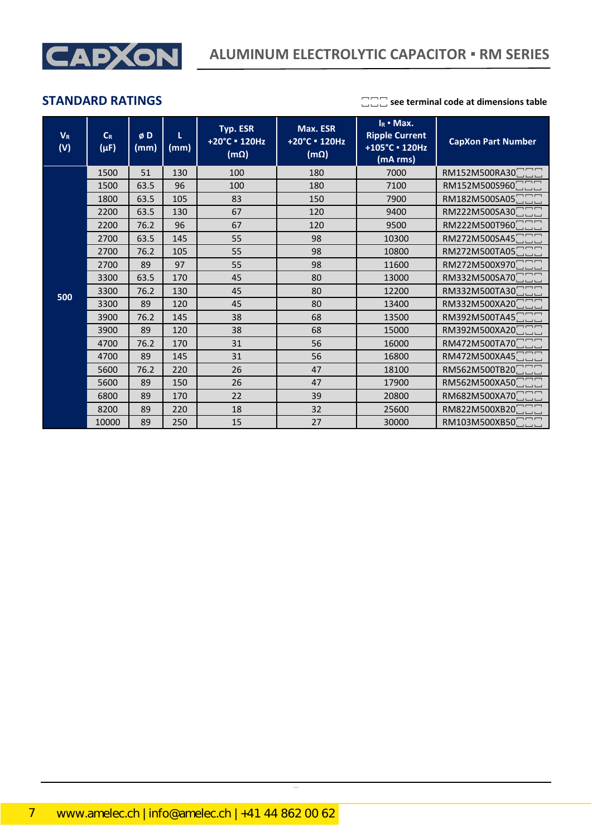

**STANDARD RATINGS**  $\Box \Box \Box$  see terminal code at dimensions table

| $V_R$<br>(V) | C <sub>R</sub><br>$(\mu F)$ | øD<br>(mm) | L<br>(mm) | Typ. ESR<br>+20°C = 120Hz<br>$(m\Omega)$ | Max. ESR<br>+20°C = 120Hz<br>$(m\Omega)$ | $I_R$ • Max.<br><b>Ripple Current</b><br>+105°C · 120Hz<br>(mA rms) | <b>CapXon Part Number</b>    |
|--------------|-----------------------------|------------|-----------|------------------------------------------|------------------------------------------|---------------------------------------------------------------------|------------------------------|
|              | 1500                        | 51         | 130       | 100                                      | 180                                      | 7000                                                                | RM152M500RA30□□□             |
|              | 1500                        | 63.5       | 96        | 100                                      | 180                                      | 7100                                                                | RM152M500S960 <sup>-</sup>   |
|              | 1800                        | 63.5       | 105       | 83                                       | 150                                      | 7900                                                                | RM182M500SA05                |
|              | 2200                        | 63.5       | 130       | 67                                       | 120                                      | 9400                                                                | RM222M500SA30□□□             |
|              | 2200                        | 76.2       | 96        | 67                                       | 120                                      | 9500                                                                | RM222M500T960 <sup>-</sup>   |
|              | 2700                        | 63.5       | 145       | 55                                       | 98                                       | 10300                                                               | RM272M500SA45                |
|              | 2700                        | 76.2       | 105       | 55                                       | 98                                       | 10800                                                               | RM272M500TA05                |
|              | 2700                        | 89         | 97        | 55                                       | 98                                       | 11600                                                               | RM272M500X970                |
|              | 3300                        | 63.5       | 170       | 45                                       | 80                                       | 13000                                                               | RM332M500SA70 <sup>-</sup>   |
| 500          | 3300                        | 76.2       | 130       | 45                                       | 80                                       | 12200                                                               | RM332M500TA30 <sup>-1-</sup> |
|              | 3300                        | 89         | 120       | 45                                       | 80                                       | 13400                                                               | RM332M500XA20□□□             |
|              | 3900                        | 76.2       | 145       | 38                                       | 68                                       | 13500                                                               | RM392M500TA45□□              |
|              | 3900                        | 89         | 120       | 38                                       | 68                                       | 15000                                                               | RM392M500XA20□□□             |
|              | 4700                        | 76.2       | 170       | 31                                       | 56                                       | 16000                                                               | RM472M500TA70                |
|              | 4700                        | 89         | 145       | 31                                       | 56                                       | 16800                                                               | RM472M500XA45                |
|              | 5600                        | 76.2       | 220       | 26                                       | 47                                       | 18100                                                               | RM562M500TB20 <sup>-1</sup>  |
|              | 5600                        | 89         | 150       | 26                                       | 47                                       | 17900                                                               | RM562M500XA50□□□             |
|              | 6800                        | 89         | 170       | 22                                       | 39                                       | 20800                                                               | RM682M500XA70□□□             |
|              | 8200                        | 89         | 220       | 18                                       | 32                                       | 25600                                                               | RM822M500XB20 <sup>-1</sup>  |
|              | 10000                       | 89         | 250       | 15                                       | 27                                       | 30000                                                               | RM103M500XB50□□□             |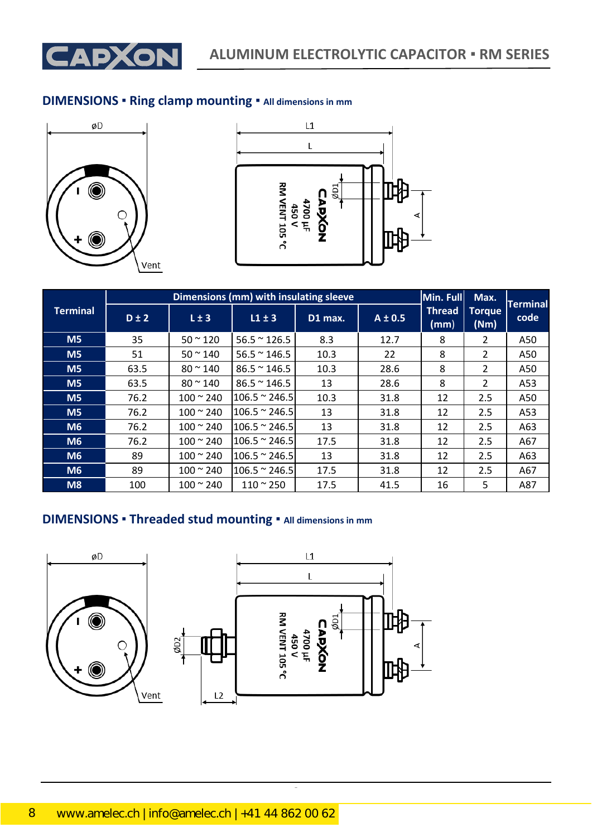

### **DIMENSIONS ▪ Ring clamp mounting ▪ All dimensions in mm**





|                 |           | Dimensions (mm) with insulating sleeve |                       | Min. Full | Max.        | <b>Terminal</b>       |                       |      |
|-----------------|-----------|----------------------------------------|-----------------------|-----------|-------------|-----------------------|-----------------------|------|
| <b>Terminal</b> | $D \pm 2$ | $L \pm 3$                              | $L1 \pm 3$            | D1 max.   | $A \pm 0.5$ | <b>Thread</b><br>(mm) | <b>Torque</b><br>(Nm) | code |
| M <sub>5</sub>  | 35        | $50 - 120$                             | $56.5 \approx 126.5$  | 8.3       | 12.7        | 8                     | 2                     | A50  |
| M <sub>5</sub>  | 51        | $50 - 140$                             | $56.5 \approx 146.5$  | 10.3      | 22          | 8                     | $\overline{2}$        | A50  |
| M <sub>5</sub>  | 63.5      | $80 \, \degree \, 140$                 | $86.5 \approx 146.5$  | 10.3      | 28.6        | 8                     | $\overline{2}$        | A50  |
| M <sub>5</sub>  | 63.5      | $80 \approx 140$                       | $86.5 \approx 146.5$  | 13        | 28.6        | 8                     | $\mathcal{L}$         | A53  |
| M <sub>5</sub>  | 76.2      | $100 \times 240$                       | $106.5 \approx 246.5$ | 10.3      | 31.8        | 12                    | 2.5                   | A50  |
| M <sub>5</sub>  | 76.2      | $100 \approx 240$                      | $106.5 \approx 246.5$ | 13        | 31.8        | 12                    | 2.5                   | A53  |
| M <sub>6</sub>  | 76.2      | $100 - 240$                            | $106.5 \approx 246.5$ | 13        | 31.8        | 12                    | 2.5                   | A63  |
| M6              | 76.2      | $100 \approx 240$                      | $106.5 \approx 246.5$ | 17.5      | 31.8        | 12                    | 2.5                   | A67  |
| M6              | 89        | $100 - 240$                            | $106.5 \approx 246.5$ | 13        | 31.8        | 12                    | 2.5                   | A63  |
| M <sub>6</sub>  | 89        | $100 - 240$                            | $106.5 \approx 246.5$ | 17.5      | 31.8        | 12                    | 2.5                   | A67  |
| M8              | 100       | $100 \times 240$                       | $110 - 250$           | 17.5      | 41.5        | 16                    | 5                     | A87  |

CapXon\_Ver. 001 – 03/31/2020 8 Document Number: RM series

## **DIMENSIONS ▪ Threaded stud mounting ▪ All dimensions in mm**

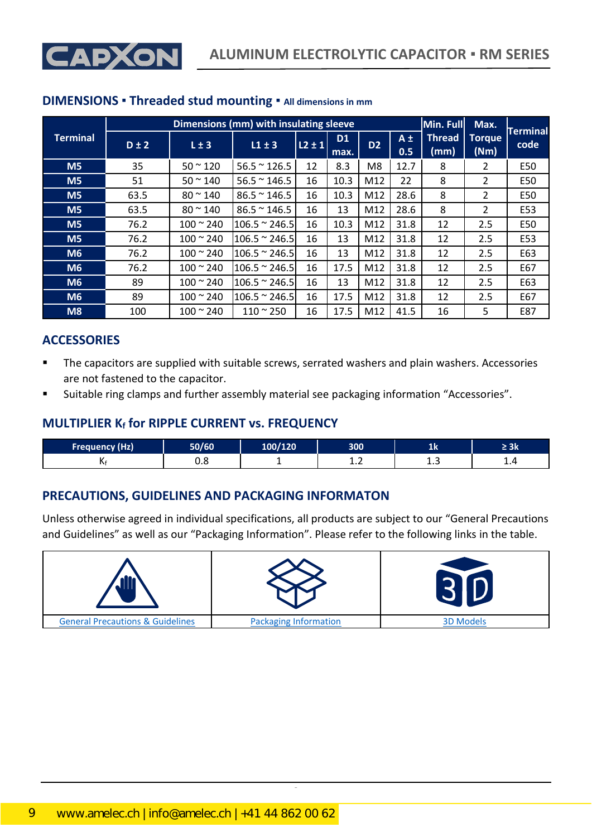

|--|

|                 |                                                                           |                        | Dimensions (mm) with insulating sleeve |                       |                       |      |      | Min. Full | Max.           | <b>Terminal</b> |
|-----------------|---------------------------------------------------------------------------|------------------------|----------------------------------------|-----------------------|-----------------------|------|------|-----------|----------------|-----------------|
| <b>Terminal</b> | <b>D1</b><br>$D \pm 2$<br>$L \pm 3$<br>$L1 \pm 3$<br>$ L2 \pm 1 $<br>max. | D <sub>2</sub>         | $A \pm$<br>0.5                         | <b>Thread</b><br>(mm) | <b>Torque</b><br>(Nm) | code |      |           |                |                 |
| M <sub>5</sub>  | 35                                                                        | $50 - 120$             | $56.5 \approx 126.5$                   | 12                    | 8.3                   | M8   | 12.7 | 8         | 2              | E50             |
| M <sub>5</sub>  | 51                                                                        | $50 - 140$             | $56.5 \approx 146.5$                   | 16                    | 10.3                  | M12  | 22   | 8         | $\mathcal{P}$  | E50             |
| M <sub>5</sub>  | 63.5                                                                      | $80 \, \degree \, 140$ | $86.5 \approx 146.5$                   | 16                    | 10.3                  | M12  | 28.6 | 8         | $\mathcal{P}$  | E50             |
| M <sub>5</sub>  | 63.5                                                                      | $80 \approx 140$       | $86.5 \approx 146.5$                   | 16                    | 13                    | M12  | 28.6 | 8         | $\overline{2}$ | E53             |
| M <sub>5</sub>  | 76.2                                                                      | $100 - 240$            | $106.5 \approx 246.5$                  | 16                    | 10.3                  | M12  | 31.8 | 12        | 2.5            | E50             |
| M <sub>5</sub>  | 76.2                                                                      | $100 - 240$            | $106.5 \approx 246.5$                  | 16                    | 13                    | M12  | 31.8 | 12        | 2.5            | E53             |
| M <sub>6</sub>  | 76.2                                                                      | $100 \approx 240$      | $106.5 \approx 246.5$                  | 16                    | 13                    | M12  | 31.8 | 12        | 2.5            | E63             |
| M <sub>6</sub>  | 76.2                                                                      | $100 \approx 240$      | $106.5 \approx 246.5$                  | 16                    | 17.5                  | M12  | 31.8 | 12        | 2.5            | E67             |
| M6              | 89                                                                        | $100 \approx 240$      | $106.5 \approx 246.5$                  | 16                    | 13                    | M12  | 31.8 | 12        | 2.5            | E63             |
| M <sub>6</sub>  | 89                                                                        | $100 - 240$            | $106.5 \approx 246.5$                  | 16                    | 17.5                  | M12  | 31.8 | 12        | 2.5            | E67             |
| M8              | 100                                                                       | $100 - 240$            | $110 - 250$                            | 16                    | 17.5                  | M12  | 41.5 | 16        | 5              | E87             |

### **DIMENSIONS ▪ Threaded stud mounting ▪ All dimensions in mm**

### **ACCESSORIES**

- The capacitors are supplied with suitable screws, serrated washers and plain washers. Accessories are not fastened to the capacitor.
- Suitable ring clamps and further assembly material see packaging information "Accessories".

### **MULTIPLIER K<sup>f</sup> for RIPPLE CURRENT vs. FREQUENCY**

| <b>Frequency (Hz)</b> | 50/60 | LOO/120 | 300        | щv | ≤ JN |
|-----------------------|-------|---------|------------|----|------|
| Nt                    | ບ.ບ   |         | . <u>.</u> | .  | . .  |

### **PRECAUTIONS, GUIDELINES AND PACKAGING INFORMATON**

Unless otherwise agreed in individual specifications, all products are subject to our "General Precautions and Guidelines" as well as our "Packaging Information". Please refer to the following links in the table.

| ، هه.<br>H                                  |                              |                  |
|---------------------------------------------|------------------------------|------------------|
| <b>General Precautions &amp; Guidelines</b> | <b>Packaging Information</b> | <b>3D Models</b> |

CapXon\_Ver. 001 – 03/31/2020 9 Document Number: RM series